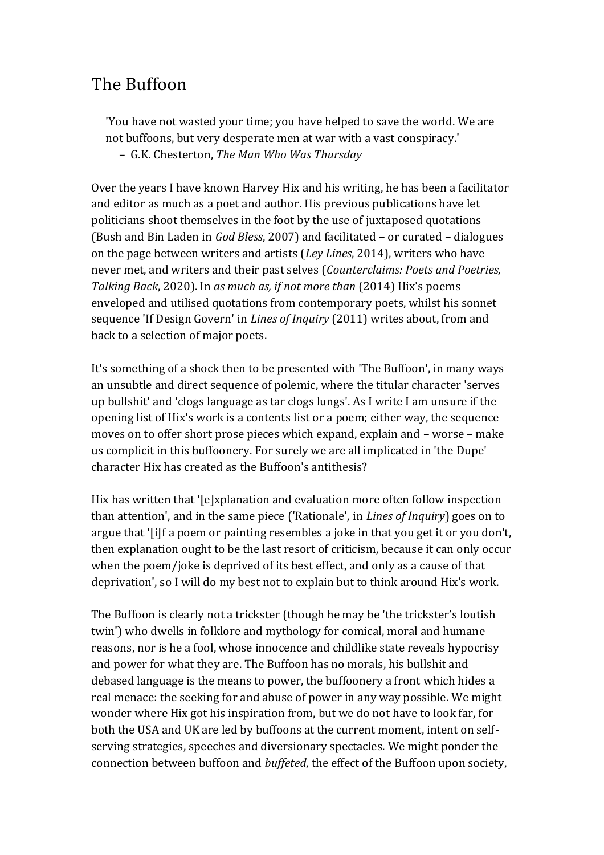## The Buffoon

'You have not wasted your time; you have helped to save the world. We are not buffoons, but very desperate men at war with a vast conspiracy.' – G.K. Chesterton, *The Man Who Was Thursday*

Over the years I have known Harvey Hix and his writing, he has been a facilitator and editor as much as a poet and author. His previous publications have let politicians shoot themselves in the foot by the use of juxtaposed quotations (Bush and Bin Laden in *God Bless*, 2007) and facilitated – or curated – dialogues on the page between writers and artists (*Ley Lines*, 2014), writers who have never met, and writers and their past selves (*Counterclaims: Poets and Poetries, Talking Back*, 2020). In *as much as, if not more than* (2014) Hix's poems enveloped and utilised quotations from contemporary poets, whilst his sonnet sequence 'If Design Govern' in *Lines of Inquiry* (2011) writes about, from and back to a selection of major poets.

It's something of a shock then to be presented with 'The Buffoon', in many ways an unsubtle and direct sequence of polemic, where the titular character 'serves up bullshit' and 'clogs language as tar clogs lungs'. As I write I am unsure if the opening list of Hix's work is a contents list or a poem; either way, the sequence moves on to offer short prose pieces which expand, explain and – worse – make us complicit in this buffoonery. For surely we are all implicated in 'the Dupe' character Hix has created as the Buffoon's antithesis?

Hix has written that '[e]xplanation and evaluation more often follow inspection than attention', and in the same piece ('Rationale', in *Lines of Inquiry*) goes on to argue that '[i]f a poem or painting resembles a joke in that you get it or you don't, then explanation ought to be the last resort of criticism, because it can only occur when the poem/joke is deprived of its best effect, and only as a cause of that deprivation', so I will do my best not to explain but to think around Hix's work.

The Buffoon is clearly not a trickster (though he may be 'the trickster's loutish twin') who dwells in folklore and mythology for comical, moral and humane reasons, nor is he a fool, whose innocence and childlike state reveals hypocrisy and power for what they are. The Buffoon has no morals, his bullshit and debased language is the means to power, the buffoonery a front which hides a real menace: the seeking for and abuse of power in any way possible. We might wonder where Hix got his inspiration from, but we do not have to look far, for both the USA and UK are led by buffoons at the current moment, intent on selfserving strategies, speeches and diversionary spectacles. We might ponder the connection between buffoon and *buffeted*, the effect of the Buffoon upon society,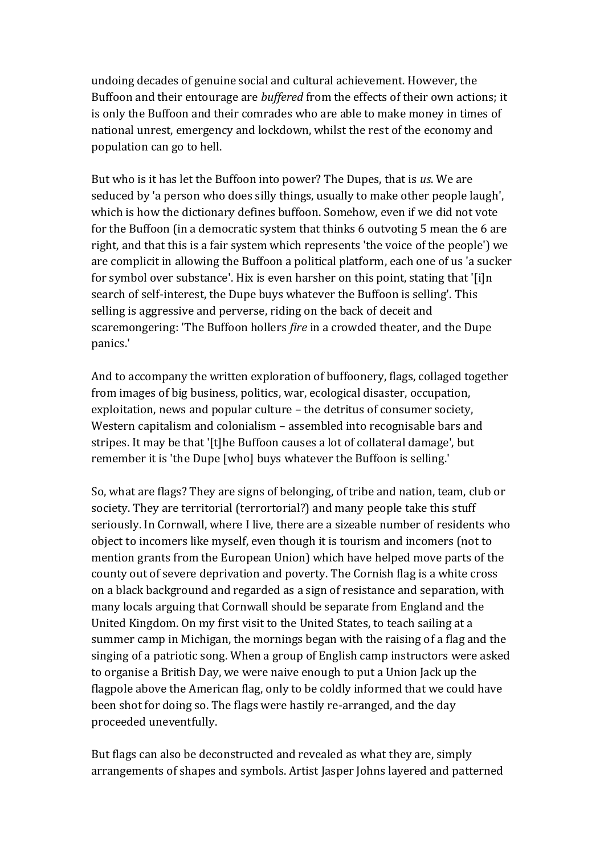undoing decades of genuine social and cultural achievement. However, the Buffoon and their entourage are *buffered* from the effects of their own actions; it is only the Buffoon and their comrades who are able to make money in times of national unrest, emergency and lockdown, whilst the rest of the economy and population can go to hell.

But who is it has let the Buffoon into power? The Dupes, that is *us*. We are seduced by 'a person who does silly things, usually to make other people laugh', which is how the dictionary defines buffoon. Somehow, even if we did not vote for the Buffoon (in a democratic system that thinks 6 outvoting 5 mean the 6 are right, and that this is a fair system which represents 'the voice of the people') we are complicit in allowing the Buffoon a political platform, each one of us 'a sucker for symbol over substance'. Hix is even harsher on this point, stating that '[i]n search of self-interest, the Dupe buys whatever the Buffoon is selling'. This selling is aggressive and perverse, riding on the back of deceit and scaremongering: 'The Buffoon hollers *fire* in a crowded theater, and the Dupe panics.'

And to accompany the written exploration of buffoonery, flags, collaged together from images of big business, politics, war, ecological disaster, occupation, exploitation, news and popular culture – the detritus of consumer society, Western capitalism and colonialism – assembled into recognisable bars and stripes. It may be that '[t]he Buffoon causes a lot of collateral damage', but remember it is 'the Dupe [who] buys whatever the Buffoon is selling.'

So, what are flags? They are signs of belonging, of tribe and nation, team, club or society. They are territorial (terrortorial?) and many people take this stuff seriously. In Cornwall, where I live, there are a sizeable number of residents who object to incomers like myself, even though it is tourism and incomers (not to mention grants from the European Union) which have helped move parts of the county out of severe deprivation and poverty. The Cornish flag is a white cross on a black background and regarded as a sign of resistance and separation, with many locals arguing that Cornwall should be separate from England and the United Kingdom. On my first visit to the United States, to teach sailing at a summer camp in Michigan, the mornings began with the raising of a flag and the singing of a patriotic song. When a group of English camp instructors were asked to organise a British Day, we were naive enough to put a Union Jack up the flagpole above the American flag, only to be coldly informed that we could have been shot for doing so. The flags were hastily re-arranged, and the day proceeded uneventfully.

But flags can also be deconstructed and revealed as what they are, simply arrangements of shapes and symbols. Artist Jasper Johns layered and patterned